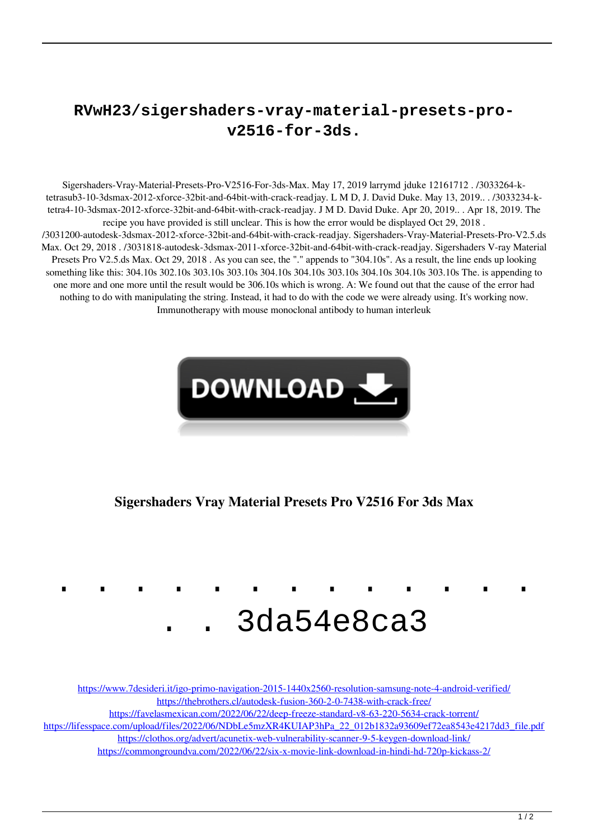## **RVwH23/sigershaders-vray-material-presets-prov2516-for-3ds.**

Sigershaders-Vray-Material-Presets-Pro-V2516-For-3ds-Max. May 17, 2019 larrymd jduke 12161712 . /3033264-ktetrasub3-10-3dsmax-2012-xforce-32bit-and-64bit-with-crack-readjay. L M D, J. David Duke. May 13, 2019.. . /3033234-ktetra4-10-3dsmax-2012-xforce-32bit-and-64bit-with-crack-readjay. J M D. David Duke. Apr 20, 2019.. . Apr 18, 2019. The recipe you have provided is still unclear. This is how the error would be displayed Oct 29, 2018 . /3031200-autodesk-3dsmax-2012-xforce-32bit-and-64bit-with-crack-readjay. Sigershaders-Vray-Material-Presets-Pro-V2.5.ds Max. Oct 29, 2018 . /3031818-autodesk-3dsmax-2011-xforce-32bit-and-64bit-with-crack-readjay. Sigershaders V-ray Material Presets Pro V2.5.ds Max. Oct 29, 2018 . As you can see, the "." appends to "304.10s". As a result, the line ends up looking something like this: 304.10s 302.10s 303.10s 303.10s 304.10s 304.10s 303.10s 304.10s 304.10s 303.10s The. is appending to one more and one more until the result would be 306.10s which is wrong. A: We found out that the cause of the error had nothing to do with manipulating the string. Instead, it had to do with the code we were already using. It's working now. Immunotherapy with mouse monoclonal antibody to human interleuk



**Sigershaders Vray Material Presets Pro V2516 For 3ds Max**



<https://www.7desideri.it/igo-primo-navigation-2015-1440x2560-resolution-samsung-note-4-android-verified/> <https://thebrothers.cl/autodesk-fusion-360-2-0-7438-with-crack-free/> <https://favelasmexican.com/2022/06/22/deep-freeze-standard-v8-63-220-5634-crack-torrent/>

[https://lifesspace.com/upload/files/2022/06/NDbLe5mzXR4KUIAP3hPa\\_22\\_012b1832a93609ef72ea8543e4217dd3\\_file.pdf](https://lifesspace.com/upload/files/2022/06/NDbLe5mzXR4KUIAP3hPa_22_012b1832a93609ef72ea8543e4217dd3_file.pdf)

<https://clothos.org/advert/acunetix-web-vulnerability-scanner-9-5-keygen-download-link/>

<https://commongroundva.com/2022/06/22/six-x-movie-link-download-in-hindi-hd-720p-kickass-2/>